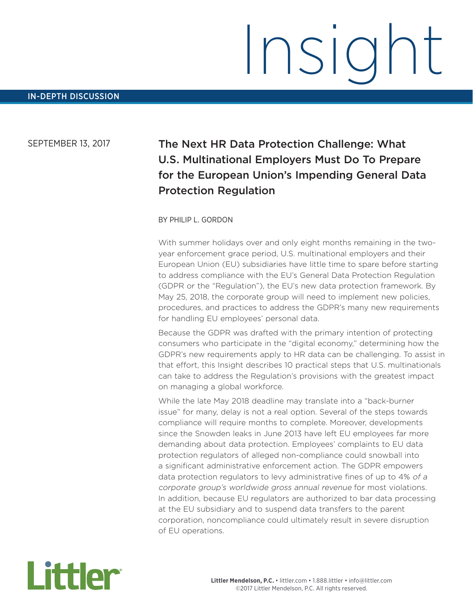# Insight

# SEPTEMBER 13, 2017 The Next HR Data Protection Challenge: What U.S. Multinational Employers Must Do To Prepare for the European Union's Impending General Data Protection Regulation

### BY PHILIP L. GORDON

With summer holidays over and only eight months remaining in the twoyear enforcement grace period, U.S. multinational employers and their European Union (EU) subsidiaries have little time to spare before starting to address compliance with the EU's General Data Protection Regulation (GDPR or the "Regulation"), the EU's new data protection framework. By May 25, 2018, the corporate group will need to implement new policies, procedures, and practices to address the GDPR's many new requirements for handling EU employees' personal data.

Because the GDPR was drafted with the primary intention of protecting consumers who participate in the "digital economy," determining how the GDPR's new requirements apply to HR data can be challenging. To assist in that effort, this Insight describes 10 practical steps that U.S. multinationals can take to address the Regulation's provisions with the greatest impact on managing a global workforce.

While the late May 2018 deadline may translate into a "back-burner issue" for many, delay is not a real option. Several of the steps towards compliance will require months to complete. Moreover, developments since the Snowden leaks in June 2013 have left EU employees far more demanding about data protection. Employees' complaints to EU data protection regulators of alleged non-compliance could snowball into a significant administrative enforcement action. The GDPR empowers data protection regulators to levy administrative fines of up to 4% of a corporate group's worldwide gross annual revenue for most violations. In addition, because EU regulators are authorized to bar data processing at the EU subsidiary and to suspend data transfers to the parent corporation, noncompliance could ultimately result in severe disruption of EU operations.

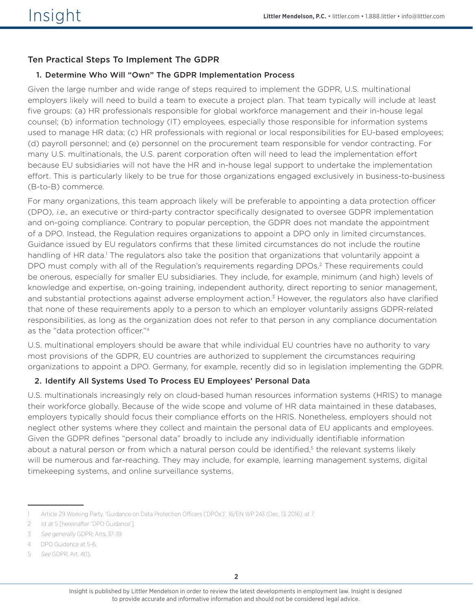## Ten Practical Steps To Implement The GDPR

### 1. Determine Who Will "Own" The GDPR Implementation Process

Given the large number and wide range of steps required to implement the GDPR, U.S. multinational employers likely will need to build a team to execute a project plan. That team typically will include at least five groups: (a) HR professionals responsible for global workforce management and their in-house legal counsel; (b) information technology (IT) employees, especially those responsible for information systems used to manage HR data; (c) HR professionals with regional or local responsibilities for EU-based employees; (d) payroll personnel; and (e) personnel on the procurement team responsible for vendor contracting. For many U.S. multinationals, the U.S. parent corporation often will need to lead the implementation effort because EU subsidiaries will not have the HR and in-house legal support to undertake the implementation effort. This is particularly likely to be true for those organizations engaged exclusively in business-to-business (B-to-B) commerce.

For many organizations, this team approach likely will be preferable to appointing a data protection officer (DPO), i.e., an executive or third-party contractor specifically designated to oversee GDPR implementation and on-going compliance. Contrary to popular perception, the GDPR does not mandate the appointment of a DPO. Instead, the Regulation requires organizations to appoint a DPO only in limited circumstances. Guidance issued by EU regulators confirms that these limited circumstances do not include the routine handling of HR data.<sup>1</sup> The regulators also take the position that organizations that voluntarily appoint a DPO must comply with all of the Regulation's requirements regarding DPOs.2 These requirements could be onerous, especially for smaller EU subsidiaries. They include, for example, minimum (and high) levels of knowledge and expertise, on-going training, independent authority, direct reporting to senior management, and substantial protections against adverse employment action.<sup>3</sup> However, the regulators also have clarified that none of these requirements apply to a person to which an employer voluntarily assigns GDPR-related responsibilities, as long as the organization does not refer to that person in any compliance documentation as the "data protection officer."4

U.S. multinational employers should be aware that while individual EU countries have no authority to vary most provisions of the GDPR, EU countries are authorized to supplement the circumstances requiring organizations to appoint a DPO. Germany, for example, recently did so in legislation implementing the GDPR.

### 2. Identify All Systems Used To Process EU Employees' Personal Data

U.S. multinationals increasingly rely on cloud-based human resources information systems (HRIS) to manage their workforce globally. Because of the wide scope and volume of HR data maintained in these databases, employers typically should focus their compliance efforts on the HRIS. Nonetheless, employers should not neglect other systems where they collect and maintain the personal data of EU applicants and employees. Given the GDPR defines "personal data" broadly to include any individually identifiable information about a natural person or from which a natural person could be identified,<sup>5</sup> the relevant systems likely will be numerous and far-reaching. They may include, for example, learning management systems, digital timekeeping systems, and online surveillance systems.

<sup>1</sup> Article 29 Working Party, "Guidance on Data Protection Officers ('DPOs')", 16/EN WP 243 (Dec. 13, 2016), at 7.

<sup>2</sup> Id. at 5 [hereinafter "DPO Guidance"].

<sup>3</sup> See generally GDPR, Arts. 37-39

<sup>4</sup> DPO Guidance at 5-6.

<sup>5</sup> See GDPR, Art. 4(1).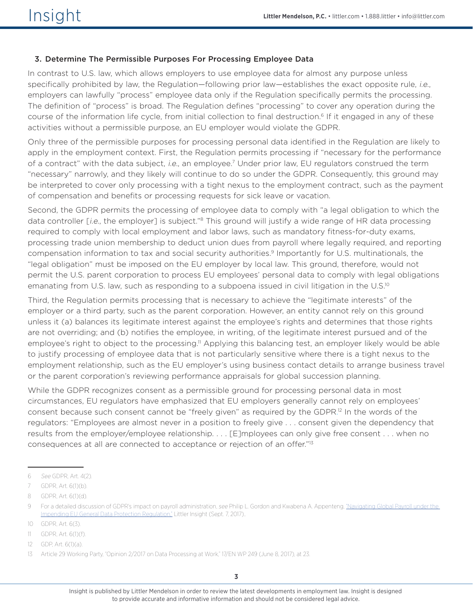### 3. Determine The Permissible Purposes For Processing Employee Data

In contrast to U.S. law, which allows employers to use employee data for almost any purpose unless specifically prohibited by law, the Regulation–following prior law–establishes the exact opposite rule, i.e., employers can lawfully "process" employee data only if the Regulation specifically permits the processing. The definition of "process" is broad. The Regulation defines "processing" to cover any operation during the course of the information life cycle, from initial collection to final destruction.<sup>6</sup> If it engaged in any of these activities without a permissible purpose, an EU employer would violate the GDPR.

Only three of the permissible purposes for processing personal data identified in the Regulation are likely to apply in the employment context. First, the Regulation permits processing if "necessary for the performance of a contract" with the data subject, i.e., an employee.<sup>7</sup> Under prior law, EU regulators construed the term "necessary" narrowly, and they likely will continue to do so under the GDPR. Consequently, this ground may be interpreted to cover only processing with a tight nexus to the employment contract, such as the payment of compensation and benefits or processing requests for sick leave or vacation.

Second, the GDPR permits the processing of employee data to comply with "a legal obligation to which the data controller [i.e., the employer] is subject."<sup>8</sup> This ground will justify a wide range of HR data processing required to comply with local employment and labor laws, such as mandatory fitness-for-duty exams, processing trade union membership to deduct union dues from payroll where legally required, and reporting compensation information to tax and social security authorities.<sup>9</sup> Importantly for U.S. multinationals, the "legal obligation" must be imposed on the EU employer by local law. This ground, therefore, would not permit the U.S. parent corporation to process EU employees' personal data to comply with legal obligations emanating from U.S. law, such as responding to a subpoena issued in civil litigation in the U.S.<sup>10</sup>

Third, the Regulation permits processing that is necessary to achieve the "legitimate interests" of the employer or a third party, such as the parent corporation. However, an entity cannot rely on this ground unless it (a) balances its legitimate interest against the employee's rights and determines that those rights are not overriding; and (b) notifies the employee, in writing, of the legitimate interest pursued and of the employee's right to object to the processing.<sup>11</sup> Applying this balancing test, an employer likely would be able to justify processing of employee data that is not particularly sensitive where there is a tight nexus to the employment relationship, such as the EU employer's using business contact details to arrange business travel or the parent corporation's reviewing performance appraisals for global succession planning.

While the GDPR recognizes consent as a permissible ground for processing personal data in most circumstances, EU regulators have emphasized that EU employers generally cannot rely on employees' consent because such consent cannot be "freely given" as required by the GDPR. 12 In the words of the regulators: "Employees are almost never in a position to freely give . . . consent given the dependency that results from the employer/employee relationship. . . . [E]mployees can only give free consent . . . when no consequences at all are connected to acceptance or rejection of an offer."13

<sup>6</sup> See GDPR, Art. 4(2).

<sup>7</sup> GDPR, Art. 6(1)(b).

<sup>8</sup> GDPR, Art. 6(1)(d).

<sup>9</sup> For a detailed discussion of GDPR's impact on payroll administration, see Philip L. Gordon and Kwabena A. Appenteng, ["Navigating Global Payroll under the](https://www.littler.com/publication-press/publication/navigating-global-payroll-under-impending-eu-general-data-protection)  [Impending EU General Data Protection Regulation,"](https://www.littler.com/publication-press/publication/navigating-global-payroll-under-impending-eu-general-data-protection) Littler Insight (Sept. 7, 2017)..

<sup>10</sup> GDPR, Art. 6(3).

<sup>11</sup> GDPR, Art. 6(1)(f).

<sup>12</sup> GDP, Art. 6(1)(a).

<sup>13</sup> Article 29 Working Party, "Opinion 2/2017 on Data Processing at Work," 17/EN WP 249 (June 8, 2017), at 23.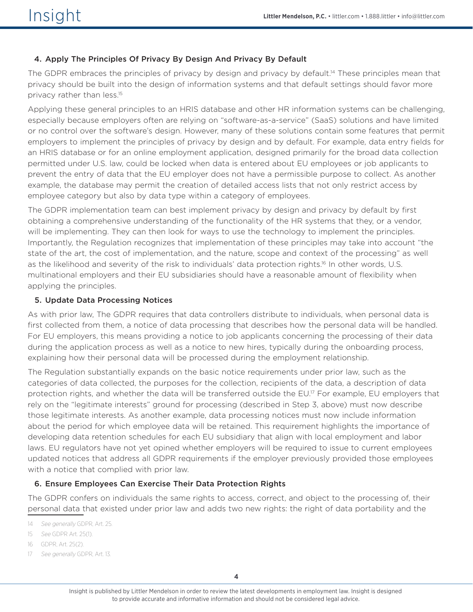### 4. Apply The Principles Of Privacy By Design And Privacy By Default

The GDPR embraces the principles of privacy by design and privacy by default.<sup>14</sup> These principles mean that privacy should be built into the design of information systems and that default settings should favor more privacy rather than less.15

Applying these general principles to an HRIS database and other HR information systems can be challenging, especially because employers often are relying on "software-as-a-service" (SaaS) solutions and have limited or no control over the software's design. However, many of these solutions contain some features that permit employers to implement the principles of privacy by design and by default. For example, data entry fields for an HRIS database or for an online employment application, designed primarily for the broad data collection permitted under U.S. law, could be locked when data is entered about EU employees or job applicants to prevent the entry of data that the EU employer does not have a permissible purpose to collect. As another example, the database may permit the creation of detailed access lists that not only restrict access by employee category but also by data type within a category of employees.

The GDPR implementation team can best implement privacy by design and privacy by default by first obtaining a comprehensive understanding of the functionality of the HR systems that they, or a vendor, will be implementing. They can then look for ways to use the technology to implement the principles. Importantly, the Regulation recognizes that implementation of these principles may take into account "the state of the art, the cost of implementation, and the nature, scope and context of the processing" as well as the likelihood and severity of the risk to individuals' data protection rights.<sup>16</sup> In other words, U.S. multinational employers and their EU subsidiaries should have a reasonable amount of flexibility when applying the principles.

### 5. Update Data Processing Notices

As with prior law, The GDPR requires that data controllers distribute to individuals, when personal data is first collected from them, a notice of data processing that describes how the personal data will be handled. For EU employers, this means providing a notice to job applicants concerning the processing of their data during the application process as well as a notice to new hires, typically during the onboarding process, explaining how their personal data will be processed during the employment relationship.

The Regulation substantially expands on the basic notice requirements under prior law, such as the categories of data collected, the purposes for the collection, recipients of the data, a description of data protection rights, and whether the data will be transferred outside the EU.<sup>17</sup> For example, EU employers that rely on the "legitimate interests" ground for processing (described in Step 3, above) must now describe those legitimate interests. As another example, data processing notices must now include information about the period for which employee data will be retained. This requirement highlights the importance of developing data retention schedules for each EU subsidiary that align with local employment and labor laws. EU regulators have not yet opined whether employers will be required to issue to current employees updated notices that address all GDPR requirements if the employer previously provided those employees with a notice that complied with prior law.

### 6. Ensure Employees Can Exercise Their Data Protection Rights

The GDPR confers on individuals the same rights to access, correct, and object to the processing of, their personal data that existed under prior law and adds two new rights: the right of data portability and the

- 14 See generally GDPR, Art. 25.
- 15 See GDPR Art. 25(1).
- 16 GDPR, Art. 25(2).
- 17 See generally GDPR, Art. 13.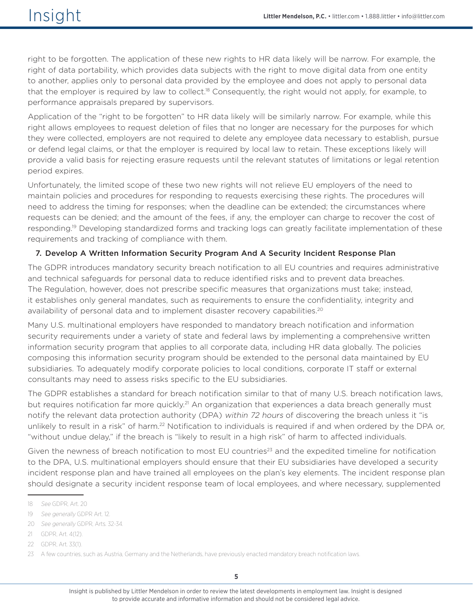right to be forgotten. The application of these new rights to HR data likely will be narrow. For example, the right of data portability, which provides data subjects with the right to move digital data from one entity to another, applies only to personal data provided by the employee and does not apply to personal data that the employer is required by law to collect.<sup>18</sup> Consequently, the right would not apply, for example, to performance appraisals prepared by supervisors.

Application of the "right to be forgotten" to HR data likely will be similarly narrow. For example, while this right allows employees to request deletion of files that no longer are necessary for the purposes for which they were collected, employers are not required to delete any employee data necessary to establish, pursue or defend legal claims, or that the employer is required by local law to retain. These exceptions likely will provide a valid basis for rejecting erasure requests until the relevant statutes of limitations or legal retention period expires.

Unfortunately, the limited scope of these two new rights will not relieve EU employers of the need to maintain policies and procedures for responding to requests exercising these rights. The procedures will need to address the timing for responses; when the deadline can be extended; the circumstances where requests can be denied; and the amount of the fees, if any, the employer can charge to recover the cost of responding.<sup>19</sup> Developing standardized forms and tracking logs can greatly facilitate implementation of these requirements and tracking of compliance with them.

### 7. Develop A Written Information Security Program And A Security Incident Response Plan

The GDPR introduces mandatory security breach notification to all EU countries and requires administrative and technical safeguards for personal data to reduce identified risks and to prevent data breaches. The Regulation, however, does not prescribe specific measures that organizations must take; instead, it establishes only general mandates, such as requirements to ensure the confidentiality, integrity and availability of personal data and to implement disaster recovery capabilities.<sup>20</sup>

Many U.S. multinational employers have responded to mandatory breach notification and information security requirements under a variety of state and federal laws by implementing a comprehensive written information security program that applies to all corporate data, including HR data globally. The policies composing this information security program should be extended to the personal data maintained by EU subsidiaries. To adequately modify corporate policies to local conditions, corporate IT staff or external consultants may need to assess risks specific to the EU subsidiaries.

The GDPR establishes a standard for breach notification similar to that of many U.S. breach notification laws, but requires notification far more quickly.<sup>21</sup> An organization that experiences a data breach generally must notify the relevant data protection authority (DPA) within 72 hours of discovering the breach unless it "is unlikely to result in a risk" of harm.<sup>22</sup> Notification to individuals is required if and when ordered by the DPA or, "without undue delay," if the breach is "likely to result in a high risk" of harm to affected individuals.

Given the newness of breach notification to most EU countries<sup>23</sup> and the expedited timeline for notification to the DPA, U.S. multinational employers should ensure that their EU subsidiaries have developed a security incident response plan and have trained all employees on the plan's key elements. The incident response plan should designate a security incident response team of local employees, and where necessary, supplemented

<sup>18</sup> See GDPR, Art. 20

<sup>19</sup> See generally GDPR Art. 12.

<sup>20</sup> See generally GDPR, Arts. 32-34.

<sup>21</sup> GDPR, Art. 4(12).

<sup>22</sup> GDPR, Art. 33(1).

<sup>23</sup> A few countries, such as Austria, Germany and the Netherlands, have previously enacted mandatory breach notification laws.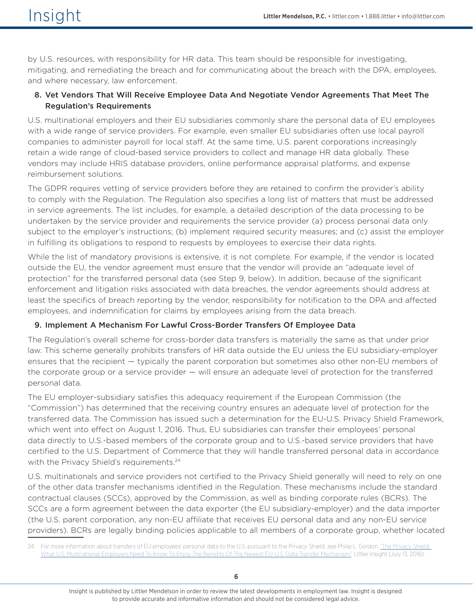by U.S. resources, with responsibility for HR data. This team should be responsible for investigating, mitigating, and remediating the breach and for communicating about the breach with the DPA, employees, and where necessary, law enforcement.

### 8. Vet Vendors That Will Receive Employee Data And Negotiate Vendor Agreements That Meet The Regulation's Requirements

U.S. multinational employers and their EU subsidiaries commonly share the personal data of EU employees with a wide range of service providers. For example, even smaller EU subsidiaries often use local payroll companies to administer payroll for local staff. At the same time, U.S. parent corporations increasingly retain a wide range of cloud-based service providers to collect and manage HR data globally. These vendors may include HRIS database providers, online performance appraisal platforms, and expense reimbursement solutions.

The GDPR requires vetting of service providers before they are retained to confirm the provider's ability to comply with the Regulation. The Regulation also specifies a long list of matters that must be addressed in service agreements. The list includes, for example, a detailed description of the data processing to be undertaken by the service provider and requirements the service provider (a) process personal data only subject to the employer's instructions; (b) implement required security measures; and (c) assist the employer in fulfilling its obligations to respond to requests by employees to exercise their data rights.

While the list of mandatory provisions is extensive, it is not complete. For example, if the vendor is located outside the EU, the vendor agreement must ensure that the vendor will provide an "adequate level of protection" for the transferred personal data (see Step 9, below). In addition, because of the significant enforcement and litigation risks associated with data breaches, the vendor agreements should address at least the specifics of breach reporting by the vendor, responsibility for notification to the DPA and affected employees, and indemnification for claims by employees arising from the data breach.

### 9. Implement A Mechanism For Lawful Cross-Border Transfers Of Employee Data

The Regulation's overall scheme for cross-border data transfers is materially the same as that under prior law. This scheme generally prohibits transfers of HR data outside the EU unless the EU subsidiary-employer ensures that the recipient — typically the parent corporation but sometimes also other non-EU members of the corporate group or a service provider — will ensure an adequate level of protection for the transferred personal data.

The EU employer-subsidiary satisfies this adequacy requirement if the European Commission (the "Commission") has determined that the receiving country ensures an adequate level of protection for the transferred data. The Commission has issued such a determination for the EU-U.S. Privacy Shield Framework, which went into effect on August 1, 2016. Thus, EU subsidiaries can transfer their employees' personal data directly to U.S.-based members of the corporate group and to U.S.-based service providers that have certified to the U.S. Department of Commerce that they will handle transferred personal data in accordance with the Privacy Shield's requirements.<sup>24</sup>

U.S. multinationals and service providers not certified to the Privacy Shield generally will need to rely on one of the other data transfer mechanisms identified in the Regulation. These mechanisms include the standard contractual clauses (SCCs), approved by the Commission, as well as binding corporate rules (BCRs). The SCCs are a form agreement between the data exporter (the EU subsidiary-employer) and the data importer (the U.S. parent corporation, any non-EU affiliate that receives EU personal data and any non-EU service providers). BCRs are legally binding policies applicable to all members of a corporate group, whether located

<sup>24</sup> For more information about transfers of EU employees' personal data to the U.S. pursuant to the Privacy Shield, see Philip L. Gordon, "The Privacy Shield: [What U.S. Multinational Employers Need To Know To Enjoy The Benefits Of The Newest EU-U.S. Data Transfer Mechanism,](https://www.littler.com/publication-press/publication/privacy-shield-what-us-multinational-employers-need-know-enjoy)" Littler Insight (July 13, 2016).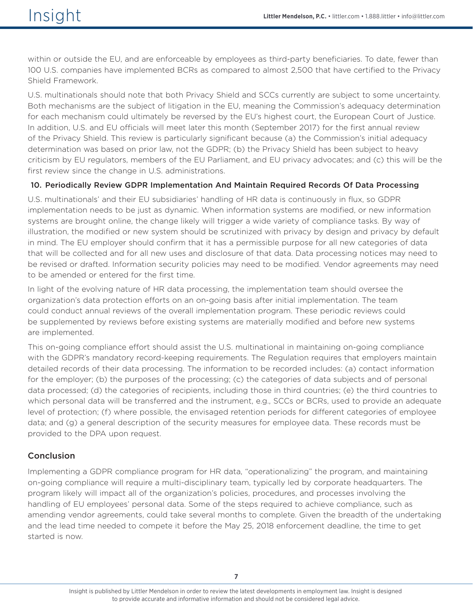within or outside the EU, and are enforceable by employees as third-party beneficiaries. To date, fewer than 100 U.S. companies have implemented BCRs as compared to almost 2,500 that have certified to the Privacy Shield Framework.

U.S. multinationals should note that both Privacy Shield and SCCs currently are subject to some uncertainty. Both mechanisms are the subject of litigation in the EU, meaning the Commission's adequacy determination for each mechanism could ultimately be reversed by the EU's highest court, the European Court of Justice. In addition, U.S. and EU officials will meet later this month (September 2017) for the first annual review of the Privacy Shield. This review is particularly significant because (a) the Commission's initial adequacy determination was based on prior law, not the GDPR; (b) the Privacy Shield has been subject to heavy criticism by EU regulators, members of the EU Parliament, and EU privacy advocates; and (c) this will be the first review since the change in U.S. administrations.

### 10. Periodically Review GDPR Implementation And Maintain Required Records Of Data Processing

U.S. multinationals' and their EU subsidiaries' handling of HR data is continuously in flux, so GDPR implementation needs to be just as dynamic. When information systems are modified, or new information systems are brought online, the change likely will trigger a wide variety of compliance tasks. By way of illustration, the modified or new system should be scrutinized with privacy by design and privacy by default in mind. The EU employer should confirm that it has a permissible purpose for all new categories of data that will be collected and for all new uses and disclosure of that data. Data processing notices may need to be revised or drafted. Information security policies may need to be modified. Vendor agreements may need to be amended or entered for the first time.

In light of the evolving nature of HR data processing, the implementation team should oversee the organization's data protection efforts on an on-going basis after initial implementation. The team could conduct annual reviews of the overall implementation program. These periodic reviews could be supplemented by reviews before existing systems are materially modified and before new systems are implemented.

This on-going compliance effort should assist the U.S. multinational in maintaining on-going compliance with the GDPR's mandatory record-keeping requirements. The Regulation requires that employers maintain detailed records of their data processing. The information to be recorded includes: (a) contact information for the employer; (b) the purposes of the processing; (c) the categories of data subjects and of personal data processed; (d) the categories of recipients, including those in third countries; (e) the third countries to which personal data will be transferred and the instrument, e.g., SCCs or BCRs, used to provide an adequate level of protection; (f) where possible, the envisaged retention periods for different categories of employee data; and (g) a general description of the security measures for employee data. These records must be provided to the DPA upon request.

### Conclusion

Implementing a GDPR compliance program for HR data, "operationalizing" the program, and maintaining on-going compliance will require a multi-disciplinary team, typically led by corporate headquarters. The program likely will impact all of the organization's policies, procedures, and processes involving the handling of EU employees' personal data. Some of the steps required to achieve compliance, such as amending vendor agreements, could take several months to complete. Given the breadth of the undertaking and the lead time needed to compete it before the May 25, 2018 enforcement deadline, the time to get started is now.